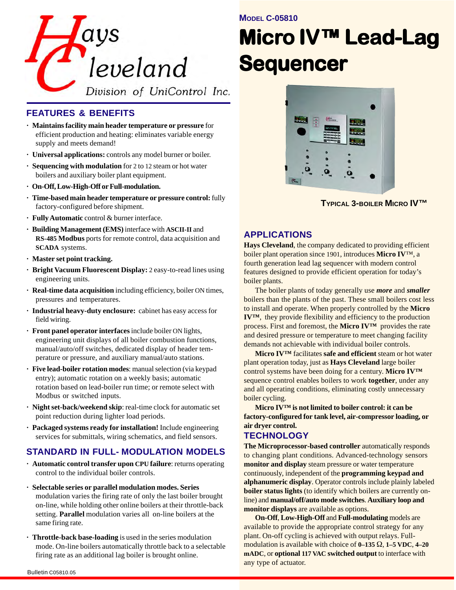

## **FEATURES & BENEFITS**

- **· Maintains facility main header temperature or pressure** for efficient production and heating: eliminates variable energy supply and meets demand!
- **· Universal applications:** controls any model burner or boiler.
- **· Sequencing with modulation** for 2 to 12 steam or hot water boilers and auxiliary boiler plant equipment.
- **· On-Off, Low-High-Off or Full-modulation.**
- **· Time-based main header temperature or pressure control:** fully factory-configured before shipment.
- **· Fully Automatic** control & burner interface.
- **· Building Management (EMS)** interface with **ASCII-II** and **RS-485 Modbus** ports for remote control, data acquisition and **SCADA** systems.
- **· Master set point tracking.**
- **· Bright Vacuum Fluorescent Display:** 2 easy-to-read lines using engineering units.
- **· Real-time data acquisition** including efficiency, boiler ON times, pressures and temperatures.
- **· Industrial heavy-duty enclosure:** cabinet has easy access for field wiring.
- **· Front panel operator interfaces** include boiler ON lights, engineering unit displays of all boiler combustion functions, manual/auto/off switches, dedicated display of header temperature or pressure, and auxiliary manual/auto stations.
- **· Five lead-boiler rotation modes**: manual selection (via keypad entry); automatic rotation on a weekly basis; automatic rotation based on lead-boiler run time; or remote select with Modbus or switched inputs.
- **· Night set-back/weekend skip**: real-time clock for automatic set point reduction during lighter load periods.
- **· Packaged systems ready for installation!** Include engineering services for submittals, wiring schematics, and field sensors.

## **STANDARD IN FULL- MODULATION MODELS**

- **· Automatic control transfer upon CPU failure**: returns operating control to the individual boiler controls.
- **· Selectable series or parallel modulation modes. Series** modulation varies the firing rate of only the last boiler brought on-line, while holding other online boilers at their throttle-back setting. **Parallel** modulation varies all on-line boilers at the same firing rate.
- **· Throttle-back base-loading** is used in the series modulation mode. On-line boilers automatically throttle back to a selectable firing rate as an additional lag boiler is brought online.

**MODEL C-05810**

# **Micro IV™ Lead-Lag Sequencer Sequencer Sequencer**



**TYPICAL 3-BOILER MICRO IV™**

## **APPLICATIONS**

**Hays Cleveland**, the company dedicated to providing efficient boiler plant operation since 1901, introduces **Micro IV**™, a fourth generation lead lag sequencer with modern control features designed to provide efficient operation for today's boiler plants.

The boiler plants of today generally use *more* and *smaller* boilers than the plants of the past. These small boilers cost less to install and operate. When properly controlled by the **Micro IV™**, they provide flexibility and efficiency to the production process. First and foremost, the **Micro IV™** provides the rate and desired pressure or temperature to meet changing facility demands not achievable with individual boiler controls.

**Micro IV™** facilitates **safe and efficient** steam or hot water plant operation today, just as **Hays Cleveland** large boiler control systems have been doing for a century. **Micro IV™** sequence control enables boilers to work **together**, under any and all operating conditions, eliminating costly unnecessary boiler cycling.

**Micro IV™ is not limited to boiler control: it can be factory-configured for tank level, air-compressor loading, or air dryer control.**

## **TECHNOLOGY**

**The Microprocessor-based controller** automatically responds to changing plant conditions. Advanced-technology sensors **monitor and display** steam pressure or water temperature continuously, independent of the **programming keypad and alphanumeric display**. Operator controls include plainly labeled **boiler status lights** (to identify which boilers are currently online) and **manual/off/auto mode switches**. **Auxiliary loop and monitor displays** are available as options.

**On-Off**, **Low-High-Off** and **Full-modulating** models are available to provide the appropriate control strategy for any plant. On-off cycling is achieved with output relays. Fullmodulation is available with choice of **0–135** Ω, **1–5 VDC**, **4–20 mADC**, or **optional 117 VAC switched output** to interface with any type of actuator.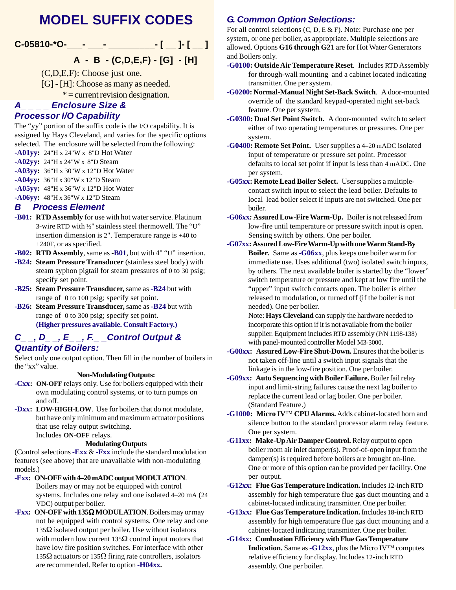# **MODEL SUFFIX CODES**



## **A - B - (C,D,E,F) - [G] - [H]**

(C,D,E,F): Choose just one.

- [G] [H]: Choose as many as needed.
	- $* =$  current revision designation.

### *A\_ \_ \_ \_ Enclosure Size & Processor I/O Capability*

The "yy" portion of the suffix code is the I/O capability. It is assigned by Hays Cleveland, and varies for the specific options selected. The enclosure will be selected from the following:

- **-A01yy:** 24"H x 24"W x 8"D Hot Water
- **-A02yy:** 24"H x 24"W x 8"D Steam
- **-A03yy:** 36"H x 30"W x 12"D Hot Water
- **-A04yy:** 36"H x 30"W x 12"D Steam
- **-A05yy:** 48"H x 36"W x 12"D Hot Water

**-A06yy:** 48"H x 36"W x 12"D Steam

## *B\_ \_Process Element*

- **-B01: RTD Assembly** for use with hot water service. Platinum 3-wire RTD with ½" stainless steel thermowell. The "U" insertion dimension is 2". Temperature range is +40 to +240F, or as specified.
- **-B02: RTD Assembly**, same as **-B01**, but with 4" "U" insertion.
- **-B24: Steam Pressure Transducer** (stainless steel body) with steam syphon pigtail for steam pressures of 0 to 30 psig; specify set point.
- **-B25: Steam Pressure Transducer,** same as **-B24** but with range of 0 to 100 psig; specify set point.
- **-B26: Steam Pressure Transducer,** same as **-B24** but with range of 0 to 300 psig; specify set point. **(Higher pressures available. Consult Factory.)**

## *C\_ \_, D\_ \_, E\_ \_, F.\_ \_Control Output & Quantity of Boilers:*

Select only one output option. Then fill in the number of boilers in the "xx" value.

#### **Non-Modulating Outputs:**

- **-Cxx: ON-OFF** relays only. Use for boilers equipped with their own modulating control systems, or to turn pumps on and off.
- **-Dxx: LOW-HIGH-LOW**. Use for boilers that do not modulate, but have only minimum and maximum actuator positions that use relay output switching. Includes **ON-OFF** relays.

#### **Modulating Outputs**

(Control selections **-Exx** & **-Fxx** include the standard modulation features (see above) that are unavailable with non-modulating models.)

-**Exx: ON-OFF with 4–20 mADC output MODULATION**.

Boilers may or may not be equipped with control systems. Includes one relay and one isolated 4–20 mA (24 VDC) output per boiler.

**-Fxx: ON-OFF with 135**Ω **MODULATION**. Boilers may or may not be equipped with control systems. One relay and one 135 $Ω$  isolated output per boiler. Use without isolators with modern low current  $135\Omega$  control input motors that have low fire position switches. For interface with other 135Ω actuators or 135Ω firing rate controllers, isolators are recommended. Refer to option **-H04xx.**

## *G. Common Option Selections:*

For all control selections (C, D, E & F). Note: Purchase one per system, or one per boiler, as appropriate. Multiple selections are allowed. Options **G16 through G2**1 are for Hot Water Generators and Boilers only.

- **-G0100: Outside Air Temperature Reset**. Includes RTD Assembly for through-wall mounting and a cabinet located indicating transmitter. One per system.
- **-G0200: Normal-Manual Night Set-Back Switch**. A door-mounted override of the standard keypad-operated night set-back feature. One per system.
- **-G0300: Dual Set Point Switch.** A door-mounted switch to select either of two operating temperatures or pressures. One per system.
- **-G0400: Remote Set Point.** User supplies a 4–20 mADC isolated input of temperature or pressure set point. Processor defaults to local set point if input is less than 4 mADC. One per system.
- **-G05xx: Remote Lead Boiler Select.** User supplies a multiplecontact switch input to select the lead boiler. Defaults to local lead boiler select if inputs are not switched. One per boiler.
- **-G06xx: Assured Low-Fire Warm-Up.** Boiler is not released from low-fire until temperature or pressure switch input is open. Sensing switch by others. One per boiler.
- **-G07xx: Assured Low-Fire Warm-Up with one Warm Stand-By Boiler.** Same as **-G06xx**, plus keeps one boiler warm for immediate use. Uses additional (two) isolated switch inputs, by others. The next available boiler is started by the "lower" switch temperature or pressure and kept at low fire until the "upper" input switch contacts open. The boiler is either released to modulation, or turned off (if the boiler is not needed). One per boiler.

Note: **Hays Cleveland** can supply the hardware needed to incorporate this option if it is not available from the boiler supplier. Equipment includes RTD assembly (P/N 1198-138) with panel-mounted controller Model M3-3000.

- **-G08xx: Assured Low-Fire Shut-Down.** Ensures that the boiler is not taken off-line until a switch input signals that the linkage is in the low-fire position. One per boiler.
- **-G09xx: Auto Sequencing with Boiler Failure.** Boiler fail relay input and limit-string failures cause the next lag boiler to replace the current lead or lag boiler. One per boiler. (Standard Feature.)
- **-G1000: Micro IV**™ **CPU Alarms.** Adds cabinet-located horn and silence button to the standard processor alarm relay feature. One per system.
- **-G11xx: Make-Up Air Damper Control.** Relay output to open boiler room air inlet damper(s). Proof-of-open input from the damper(s) is required before boilers are brought on-line. One or more of this option can be provided per facility. One per output.
- **-G12xx: Flue Gas Temperature Indication.** Includes 12-inch RTD assembly for high temperature flue gas duct mounting and a cabinet-located indicating transmitter. One per boiler.
- **-G13xx: Flue Gas Temperature Indication.** Includes 18-inch RTD assembly for high temperature flue gas duct mounting and a cabinet-located indicating transmitter. One per boiler.
- **-G14xx: Combustion Efficiency with Flue Gas Temperature Indication.** Same as **-G12xx**, plus the Micro IV™ computes relative efficiency for display. Includes 12-inch RTD assembly. One per boiler.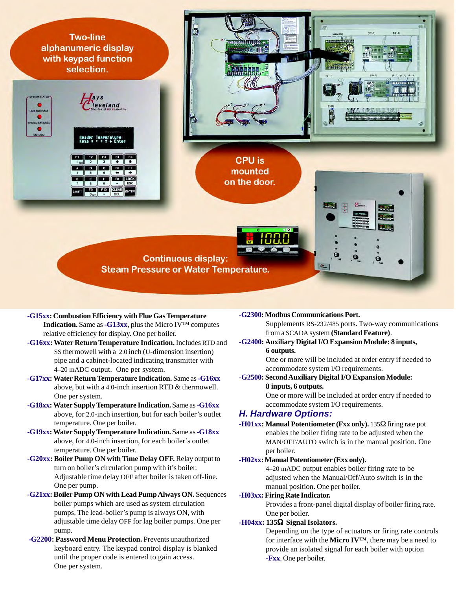

- **-G15xx: Combustion Efficiency with Flue Gas Temperature Indication.** Same as **-G13xx**, plus the Micro IV™ computes relative efficiency for display. One per boiler.
- **-G16xx: Water Return Temperature Indication.** Includes RTD and SS thermowell with a 2.0 inch (U-dimension insertion) pipe and a cabinet-located indicating transmitter with 4–20 mADC output. One per system.
- **-G17xx:Water Return Temperature Indication.** Same as **-G16xx** above, but with a 4.0-inch insertion RTD & thermowell. One per system.
- **-G18xx: Water Supply Temperature Indication.** Same as **-G16xx** above, for 2.0-inch insertion, but for each boiler's outlet temperature. One per boiler.
- **-G19xx: Water Supply Temperature Indication.** Same as **-G18xx** above, for 4.0-inch insertion, for each boiler's outlet temperature. One per boiler.
- **-G20xx: Boiler Pump ON with Time Delay OFF.** Relay output to turn on boiler's circulation pump with it's boiler. Adjustable time delay OFF after boiler is taken off-line. One per pump.
- **-G21xx: Boiler Pump ON with Lead Pump Always ON. Sequences** boiler pumps which are used as system circulation pumps. The lead-boiler's pump is always ON, with adjustable time delay OFF for lag boiler pumps. One per pump.
- **-G2200: Password Menu Protection.** Prevents unauthorized keyboard entry. The keypad control display is blanked until the proper code is entered to gain access. One per system.

**-G2300:Modbus Communications Port.**

Supplements RS-232/485 ports. Two-way communications from a SCADA system **(Standard Feature)**.

**-G2400: Auxiliary Digital I/O Expansion Module: 8 inputs, 6 outputs.**

> One or more will be included at order entry if needed to accommodate system I/O requirements.

-**G2500: Second Auxiliary Digital I/O Expansion Module: 8 inputs, 6 outputs.**

One or more will be included at order entry if needed to accommodate system I/O requirements.

## *H. Hardware Options:*

**-H01xx: Manual Potentiometer (Fxx only).** 135Ω firing rate pot enables the boiler firing rate to be adjusted when the MAN/OFF/AUTO switch is in the manual position. One per boiler.

#### **-H02xx: Manual Potentiometer (Exx only).**

4–20 mADC output enables boiler firing rate to be adjusted when the Manual/Off/Auto switch is in the manual position. One per boiler.

#### **-H03xx: Firing Rate Indicator.**

Provides a front-panel digital display of boiler firing rate. One per boiler.

#### **-H04xx: 135**Ω **Signal Isolators.**

Depending on the type of actuators or firing rate controls for interface with the **Micro IV™**, there may be a need to provide an isolated signal for each boiler with option **-Fxx**. One per boiler.